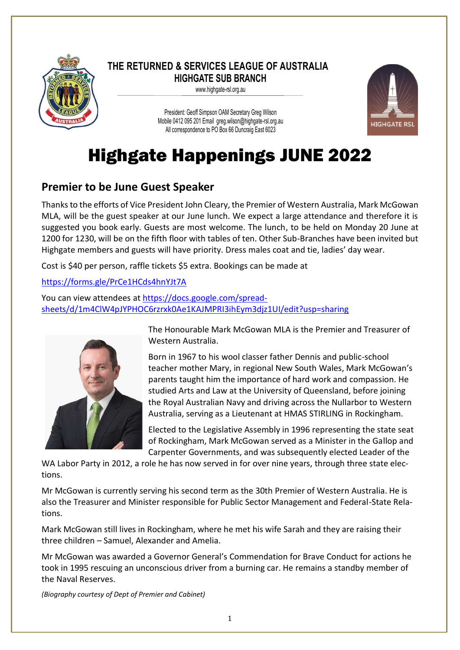

### **THE RETURNED & SERVICES LEAGUE OF AUSTRALIA HIGHGATE SUB BRANCH**

www.highgate-rsl.org.au

President: Geoff Simpson OAM Secretary Greg Wilson Mobile 0412 095 201 Email [greg.wilson@highgate-rsl.org.au](mailto:greg.wilson@highgate-rsl.org.au) All correspondence to PO Box 66 Duncraig East 6023



# Highgate Happenings JUNE 2022

## **Premier to be June Guest Speaker**

Thanks to the efforts of Vice President John Cleary, the Premier of Western Australia, Mark McGowan MLA, will be the guest speaker at our June lunch. We expect a large attendance and therefore it is suggested you book early. Guests are most welcome. The lunch, to be held on Monday 20 June at 1200 for 1230, will be on the fifth floor with tables of ten. Other Sub-Branches have been invited but Highgate members and guests will have priority. Dress males coat and tie, ladies' day wear.

Cost is \$40 per person, raffle tickets \$5 extra. Bookings can be made at

### <https://forms.gle/PrCe1HCds4hnYJt7A>

You can view attendees a[t https://docs.google.com/spread](https://docs.google.com/spreadsheets/d/1m4ClW4pJYPHOC6rzrxk0Ae1KAJMPRI3ihEym3djz1UI/edit?usp=sharing)[sheets/d/1m4ClW4pJYPHOC6rzrxk0Ae1KAJMPRI3ihEym3djz1UI/edit?usp=sharing](https://docs.google.com/spreadsheets/d/1m4ClW4pJYPHOC6rzrxk0Ae1KAJMPRI3ihEym3djz1UI/edit?usp=sharing)



The Honourable Mark McGowan MLA is the Premier and Treasurer of Western Australia.

Born in 1967 to his wool classer father Dennis and public-school teacher mother Mary, in regional New South Wales, Mark McGowan's parents taught him the importance of hard work and compassion. He studied Arts and Law at the University of Queensland, before joining the Royal Australian Navy and driving across the Nullarbor to Western Australia, serving as a Lieutenant at HMAS STIRLING in Rockingham.

Elected to the Legislative Assembly in 1996 representing the state seat of Rockingham, Mark McGowan served as a Minister in the Gallop and Carpenter Governments, and was subsequently elected Leader of the

WA Labor Party in 2012, a role he has now served in for over nine years, through three state elections.

Mr McGowan is currently serving his second term as the 30th Premier of Western Australia. He is also the Treasurer and Minister responsible for Public Sector Management and Federal-State Relations.

Mark McGowan still lives in Rockingham, where he met his wife Sarah and they are raising their three children – Samuel, Alexander and Amelia.

Mr McGowan was awarded a Governor General's Commendation for Brave Conduct for actions he took in 1995 rescuing an unconscious driver from a burning car. He remains a standby member of the Naval Reserves.

*(Biography courtesy of Dept of Premier and Cabinet)*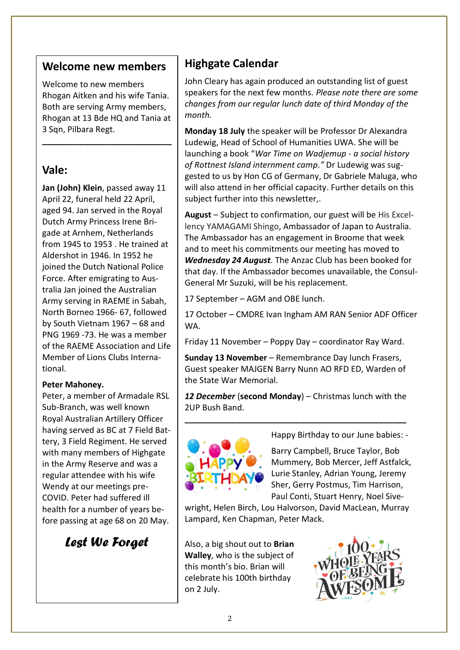### **Welcome new members**

Welcome to new members Rhogan Aitken and his wife Tania. Both are serving Army members, Rhogan at 13 Bde HQ and Tania at 3 Sqn, Pilbara Regt.

**\_\_\_\_\_\_\_\_\_\_\_\_\_\_\_\_\_\_\_\_\_\_\_\_\_\_\_\_**

## **Vale:**

**Jan (John) Klein**, passed away 11 April 22, funeral held 22 April, aged 94. Jan served in the Royal Dutch Army Princess Irene Brigade at Arnhem, Netherlands from 1945 to 1953 . He trained at Aldershot in 1946. In 1952 he joined the Dutch National Police Force. After emigrating to Australia Jan joined the Australian Army serving in RAEME in Sabah, North Borneo 1966- 67, followed by South Vietnam 1967 – 68 and PNG 1969 -73. He was a member of the RAEME Association and Life Member of Lions Clubs International.

### **Peter Mahoney.**

Peter, a member of Armadale RSL Sub-Branch, was well known Royal Australian Artillery Officer having served as BC at 7 Field Battery, 3 Field Regiment. He served with many members of Highgate in the Army Reserve and was a regular attendee with his wife Wendy at our meetings pre-COVID. Peter had suffered ill health for a number of years before passing at age 68 on 20 May.

*Lest We Forget*

# **Highgate Calendar**

John Cleary has again produced an outstanding list of guest speakers for the next few months*. Please note there are some changes from our regular lunch date of third Monday of the month.*

**Monday 18 July** the speaker will be Professor Dr Alexandra Ludewig, Head of School of Humanities UWA. She will be launching a book "*War Time on Wadjemup - a social history of Rottnest Island internment camp."* Dr Ludewig was suggested to us by Hon CG of Germany, Dr Gabriele Maluga, who will also attend in her official capacity. Further details on this subject further into this newsletter,.

**August** – Subject to confirmation, our guest will be His Excellency YAMAGAMI Shingo, Ambassador of Japan to Australia. The Ambassador has an engagement in Broome that week and to meet his commitments our meeting has moved to *Wednesday 24 August.* The Anzac Club has been booked for that day. If the Ambassador becomes unavailable, the Consul-General Mr Suzuki, will be his replacement.

17 September – AGM and OBE lunch.

17 October – CMDRE Ivan Ingham AM RAN Senior ADF Officer WA.

Friday 11 November – Poppy Day – coordinator Ray Ward.

**Sunday 13 November** – Remembrance Day lunch Frasers, Guest speaker MAJGEN Barry Nunn AO RFD ED, Warden of the State War Memorial.

*12 December* (**second Monday**) – Christmas lunch with the 2UP Bush Band.

**\_\_\_\_\_\_\_\_\_\_\_\_\_\_\_\_\_\_\_\_\_\_\_\_\_\_\_\_\_\_\_\_\_\_\_\_\_\_\_\_\_\_\_\_\_\_\_\_**



Happy Birthday to our June babies: -

Barry Campbell, Bruce Taylor, Bob Mummery, Bob Mercer, Jeff Astfalck, Lurie Stanley, Adrian Young, Jeremy Sher, Gerry Postmus, Tim Harrison, Paul Conti, Stuart Henry, Noel Sive-

wright, Helen Birch, Lou Halvorson, David MacLean, Murray Lampard, Ken Chapman, Peter Mack.

Also, a big shout out to **Brian Walley**, who is the subject of this month's bio. Brian will celebrate his 100th birthday on 2 July.

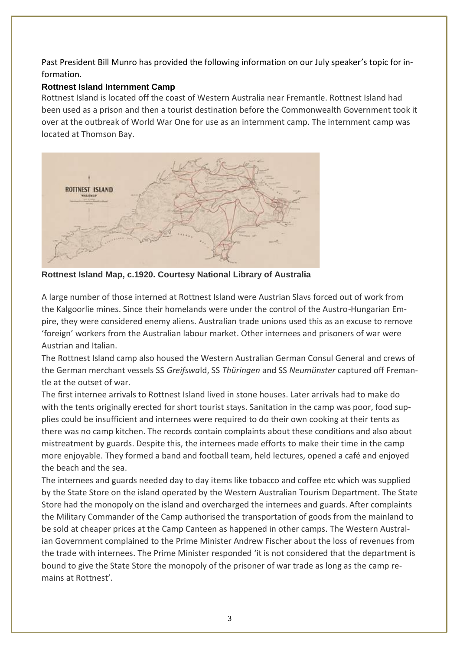Past President Bill Munro has provided the following information on our July speaker's topic for information.

### **Rottnest Island Internment Camp**

Rottnest Island is located off the coast of Western Australia near Fremantle. Rottnest Island had been used as a prison and then a tourist destination before the Commonwealth Government took it over at the outbreak of World War One for use as an internment camp. The internment camp was located at Thomson Bay.



**Rottnest Island Map, c.1920. Courtesy National Library of Australia**

A large number of those interned at Rottnest Island were Austrian Slavs forced out of work from the Kalgoorlie mines. Since their homelands were under the control of the Austro-Hungarian Empire, they were considered enemy aliens. Australian trade unions used this as an excuse to remove 'foreign' workers from the Australian labour market. Other internees and prisoners of war were Austrian and Italian.

The Rottnest Island camp also housed the Western Australian German Consul General and crews of the German merchant vessels SS *Greifswa*ld, SS *Thüringen* and SS *Neumünster* captured off Fremantle at the outset of war.

The first internee arrivals to Rottnest Island lived in stone houses. Later arrivals had to make do with the tents originally erected for short tourist stays. Sanitation in the camp was poor, food supplies could be insufficient and internees were required to do their own cooking at their tents as there was no camp kitchen. The records contain complaints about these conditions and also about mistreatment by guards. Despite this, the internees made efforts to make their time in the camp more enjoyable. They formed a band and football team, held lectures, opened a café and enjoyed the beach and the sea.

The internees and guards needed day to day items like tobacco and coffee etc which was supplied by the State Store on the island operated by the Western Australian Tourism Department. The State Store had the monopoly on the island and overcharged the internees and guards. After complaints the Military Commander of the Camp authorised the transportation of goods from the mainland to be sold at cheaper prices at the Camp Canteen as happened in other camps. The Western Australian Government complained to the Prime Minister Andrew Fischer about the loss of revenues from the trade with internees. The Prime Minister responded 'it is not considered that the department is bound to give the State Store the monopoly of the prisoner of war trade as long as the camp remains at Rottnest'.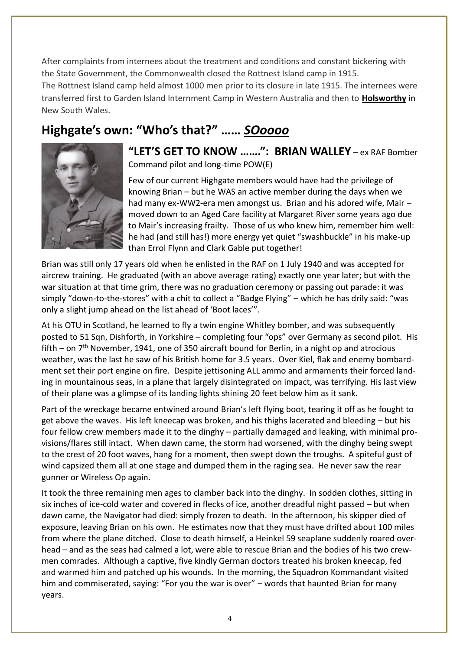After complaints from internees about the treatment and conditions and constant bickering with the State Government, the Commonwealth closed the Rottnest Island camp in 1915. The Rottnest Island camp held almost 1000 men prior to its closure in late 1915. The internees were transferred first to Garden Island Internment Camp in Western Australia and then to **[Holsworthy](https://www.migrationheritage.nsw.gov.au/exhibition/enemyathome/holsworthy-internment-camp/index.html)** in New South Wales.

# **Highgate's own: "Who's that?" ……** *SOoooo*



**"LET'S GET TO KNOW …….": BRIAN WALLEY** – ex RAF Bomber Command pilot and long-time POW(E)

Few of our current Highgate members would have had the privilege of knowing Brian – but he WAS an active member during the days when we had many ex-WW2-era men amongst us. Brian and his adored wife, Mair – moved down to an Aged Care facility at Margaret River some years ago due to Mair's increasing frailty. Those of us who knew him, remember him well: he had (and still has!) more energy yet quiet "swashbuckle" in his make-up than Errol Flynn and Clark Gable put together!

Brian was still only 17 years old when he enlisted in the RAF on 1 July 1940 and was accepted for aircrew training. He graduated (with an above average rating) exactly one year later; but with the war situation at that time grim, there was no graduation ceremony or passing out parade: it was simply "down-to-the-stores" with a chit to collect a "Badge Flying" – which he has drily said: "was only a slight jump ahead on the list ahead of 'Boot laces'".

At his OTU in Scotland, he learned to fly a twin engine Whitley bomber, and was subsequently posted to 51 Sqn, Dishforth, in Yorkshire – completing four "ops" over Germany as second pilot. His fifth – on  $7<sup>th</sup>$  November, 1941, one of 350 aircraft bound for Berlin, in a night op and atrocious weather, was the last he saw of his British home for 3.5 years. Over Kiel, flak and enemy bombardment set their port engine on fire. Despite jettisoning ALL ammo and armaments their forced landing in mountainous seas, in a plane that largely disintegrated on impact, was terrifying. His last view of their plane was a glimpse of its landing lights shining 20 feet below him as it sank.

Part of the wreckage became entwined around Brian's left flying boot, tearing it off as he fought to get above the waves. His left kneecap was broken, and his thighs lacerated and bleeding – but his four fellow crew members made it to the dinghy – partially damaged and leaking, with minimal provisions/flares still intact. When dawn came, the storm had worsened, with the dinghy being swept to the crest of 20 foot waves, hang for a moment, then swept down the troughs. A spiteful gust of wind capsized them all at one stage and dumped them in the raging sea. He never saw the rear gunner or Wireless Op again.

It took the three remaining men ages to clamber back into the dinghy. In sodden clothes, sitting in six inches of ice-cold water and covered in flecks of ice, another dreadful night passed – but when dawn came, the Navigator had died: simply frozen to death. In the afternoon, his skipper died of exposure, leaving Brian on his own. He estimates now that they must have drifted about 100 miles from where the plane ditched. Close to death himself, a Heinkel 59 seaplane suddenly roared overhead – and as the seas had calmed a lot, were able to rescue Brian and the bodies of his two crewmen comrades. Although a captive, five kindly German doctors treated his broken kneecap, fed and warmed him and patched up his wounds. In the morning, the Squadron Kommandant visited him and commiserated, saying: "For you the war is over" – words that haunted Brian for many years.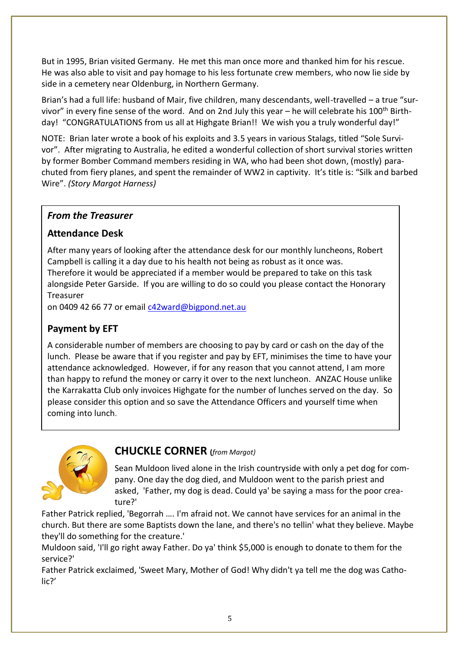But in 1995, Brian visited Germany. He met this man once more and thanked him for his rescue. He was also able to visit and pay homage to his less fortunate crew members, who now lie side by side in a cemetery near Oldenburg, in Northern Germany.

Brian's had a full life: husband of Mair, five children, many descendants, well-travelled – a true "survivor" in every fine sense of the word. And on 2nd July this year – he will celebrate his 100<sup>th</sup> Birthday! "CONGRATULATIONS from us all at Highgate Brian!! We wish you a truly wonderful day!"

NOTE: Brian later wrote a book of his exploits and 3.5 years in various Stalags, titled "Sole Survivor". After migrating to Australia, he edited a wonderful collection of short survival stories written by former Bomber Command members residing in WA, who had been shot down, (mostly) parachuted from fiery planes, and spent the remainder of WW2 in captivity. It's title is: "Silk and barbed Wire". *(Story Margot Harness)*

### *From the Treasurer*

### **Attendance Desk**

After many years of looking after the attendance desk for our monthly luncheons, Robert Campbell is calling it a day due to his health not being as robust as it once was. Therefore it would be appreciated if a member would be prepared to take on this task alongside Peter Garside. If you are willing to do so could you please contact the Honorary Treasurer

on 0409 42 66 77 or email [c42ward@bigpond.net.au](mailto:c42ward@bigpond.net.au)

### **Payment by EFT**

A considerable number of members are choosing to pay by card or cash on the day of the lunch. Please be aware that if you register and pay by EFT, minimises the time to have your attendance acknowledged. However, if for any reason that you cannot attend, I am more than happy to refund the money or carry it over to the next luncheon. ANZAC House unlike the Karrakatta Club only invoices Highgate for the number of lunches served on the day. So please consider this option and so save the Attendance Officers and yourself time when coming into lunch.



### **CHUCKLE CORNER (***from Margot)*

Sean Muldoon lived alone in the Irish countryside with only a pet dog for company. One day the dog died, and Muldoon went to the parish priest and asked, 'Father, my dog is dead. Could ya' be saying a mass for the poor creature?'

Father Patrick replied, 'Begorrah …. I'm afraid not. We cannot have services for an animal in the church. But there are some Baptists down the lane, and there's no tellin' what they believe. Maybe they'll do something for the creature.'

Muldoon said, 'I'll go right away Father. Do ya' think \$5,000 is enough to donate to them for the service?'

Father Patrick exclaimed, 'Sweet Mary, Mother of God! Why didn't ya tell me the dog was Catholic?'